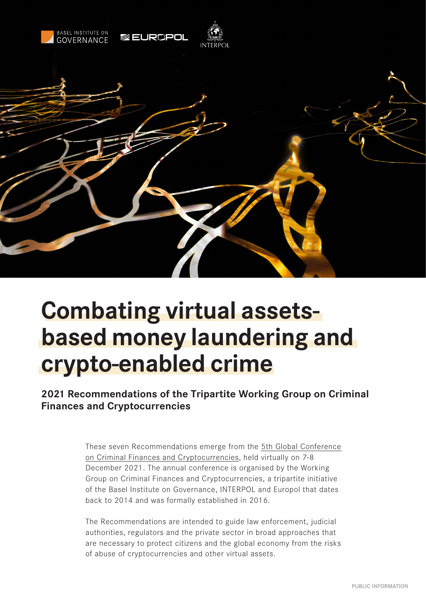

# **Combating virtual assetsbased money laundering and crypto-enabled crime**

# **2021 Recommendations of the Tripartite Working Group on Criminal Finances and Cryptocurrencies**

These seven Recommendations emerge from the [5th Global Conference](https://www.baselgovernance.org/5crc)  [on Criminal Finances and Cryptocurrencies,](https://www.baselgovernance.org/5crc) held virtually on 7-8 December 2021. The annual conference is organised by the Working Group on Criminal Finances and Cryptocurrencies, a tripartite initiative of the Basel Institute on Governance, INTERPOL and Europol that dates back to 2014 and was formally established in 2016.

The Recommendations are intended to guide law enforcement, judicial authorities, regulators and the private sector in broad approaches that are necessary to protect citizens and the global economy from the risks of abuse of cryptocurrencies and other virtual assets.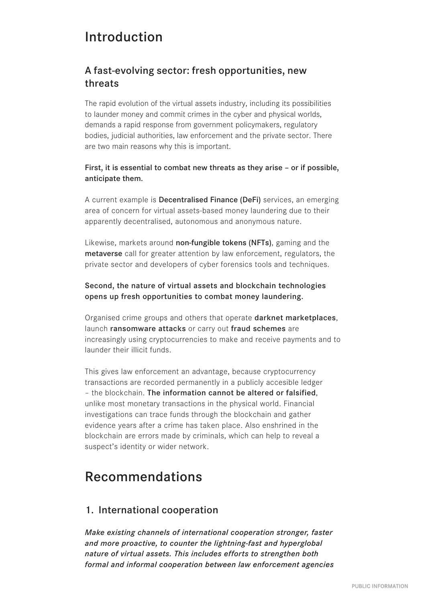# Introduction

# A fast-evolving sector: fresh opportunities, new threats

The rapid evolution of the virtual assets industry, including its possibilities to launder money and commit crimes in the cyber and physical worlds, demands a rapid response from government policymakers, regulatory bodies, judicial authorities, law enforcement and the private sector. There are two main reasons why this is important.

#### First, it is essential to combat new threats as they arise – or if possible, anticipate them.

A current example is Decentralised Finance (DeFi) services, an emerging area of concern for virtual assets-based money laundering due to their apparently decentralised, autonomous and anonymous nature.

Likewise, markets around non-fungible tokens (NFTs), gaming and the metaverse call for greater attention by law enforcement, regulators, the private sector and developers of cyber forensics tools and techniques.

#### Second, the nature of virtual assets and blockchain technologies opens up fresh opportunities to combat money laundering.

Organised crime groups and others that operate darknet marketplaces, launch ransomware attacks or carry out fraud schemes are increasingly using cryptocurrencies to make and receive payments and to launder their illicit funds.

This gives law enforcement an advantage, because cryptocurrency transactions are recorded permanently in a publicly accesible ledger – the blockchain. The information cannot be altered or falsified, unlike most monetary transactions in the physical world. Financial investigations can trace funds through the blockchain and gather evidence years after a crime has taken place. Also enshrined in the blockchain are errors made by criminals, which can help to reveal a suspect's identity or wider network.

# Recommendations

## 1. International cooperation

*Make existing channels of international cooperation stronger, faster and more proactive, to counter the lightning-fast and hyperglobal nature of virtual assets. This includes efforts to strengthen both formal and informal cooperation between law enforcement agencies*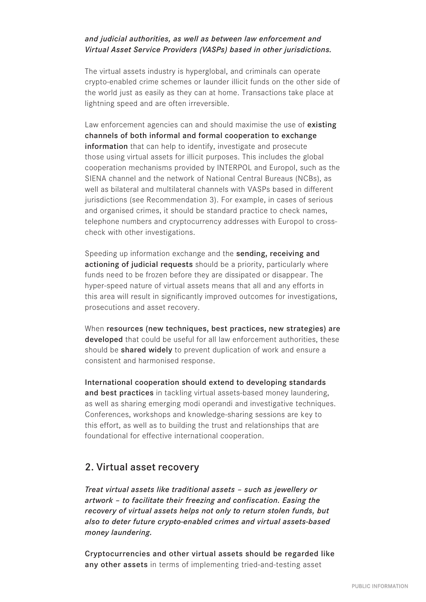#### *and judicial authorities, as well as between law enforcement and Virtual Asset Service Providers (VASPs) based in other jurisdictions.*

The virtual assets industry is hyperglobal, and criminals can operate crypto-enabled crime schemes or launder illicit funds on the other side of the world just as easily as they can at home. Transactions take place at lightning speed and are often irreversible.

Law enforcement agencies can and should maximise the use of existing channels of both informal and formal cooperation to exchange information that can help to identify, investigate and prosecute those using virtual assets for illicit purposes. This includes the global cooperation mechanisms provided by INTERPOL and Europol, such as the SIENA channel and the network of National Central Bureaus (NCBs), as well as bilateral and multilateral channels with VASPs based in different jurisdictions (see Recommendation 3). For example, in cases of serious and organised crimes, it should be standard practice to check names, telephone numbers and cryptocurrency addresses with Europol to crosscheck with other investigations.

Speeding up information exchange and the sending, receiving and actioning of judicial requests should be a priority, particularly where funds need to be frozen before they are dissipated or disappear. The hyper-speed nature of virtual assets means that all and any efforts in this area will result in significantly improved outcomes for investigations, prosecutions and asset recovery.

When resources (new techniques, best practices, new strategies) are developed that could be useful for all law enforcement authorities, these should be **shared widely** to prevent duplication of work and ensure a consistent and harmonised response.

International cooperation should extend to developing standards and best practices in tackling virtual assets-based money laundering, as well as sharing emerging modi operandi and investigative techniques. Conferences, workshops and knowledge-sharing sessions are key to this effort, as well as to building the trust and relationships that are foundational for effective international cooperation.

## 2. Virtual asset recovery

*Treat virtual assets like traditional assets – such as jewellery or artwork – to facilitate their freezing and confiscation. Easing the recovery of virtual assets helps not only to return stolen funds, but also to deter future crypto-enabled crimes and virtual assets-based money laundering.*

Cryptocurrencies and other virtual assets should be regarded like any other assets in terms of implementing tried-and-testing asset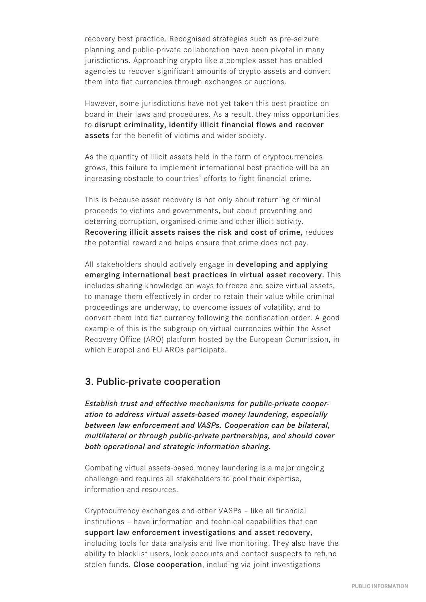recovery best practice. Recognised strategies such as pre-seizure planning and public-private collaboration have been pivotal in many jurisdictions. Approaching crypto like a complex asset has enabled agencies to recover significant amounts of crypto assets and convert them into fiat currencies through exchanges or auctions.

However, some jurisdictions have not yet taken this best practice on board in their laws and procedures. As a result, they miss opportunities to disrupt criminality, identify illicit financial flows and recover assets for the benefit of victims and wider society.

As the quantity of illicit assets held in the form of cryptocurrencies grows, this failure to implement international best practice will be an increasing obstacle to countries' efforts to fight financial crime.

This is because asset recovery is not only about returning criminal proceeds to victims and governments, but about preventing and deterring corruption, organised crime and other illicit activity. Recovering illicit assets raises the risk and cost of crime, reduces the potential reward and helps ensure that crime does not pay.

All stakeholders should actively engage in **developing and applying** emerging international best practices in virtual asset recovery. This includes sharing knowledge on ways to freeze and seize virtual assets, to manage them effectively in order to retain their value while criminal proceedings are underway, to overcome issues of volatility, and to convert them into fiat currency following the confiscation order. A good example of this is the subgroup on virtual currencies within the Asset Recovery Office (ARO) platform hosted by the European Commission, in which Europol and EU AROs participate.

#### 3. Public-private cooperation

*Establish trust and effective mechanisms for public-private cooperation to address virtual assets-based money laundering, especially between law enforcement and VASPs. Cooperation can be bilateral, multilateral or through public-private partnerships, and should cover both operational and strategic information sharing.* 

Combating virtual assets-based money laundering is a major ongoing challenge and requires all stakeholders to pool their expertise, information and resources.

Cryptocurrency exchanges and other VASPs – like all financial institutions – have information and technical capabilities that can support law enforcement investigations and asset recovery, including tools for data analysis and live monitoring. They also have the ability to blacklist users, lock accounts and contact suspects to refund stolen funds. Close cooperation, including via joint investigations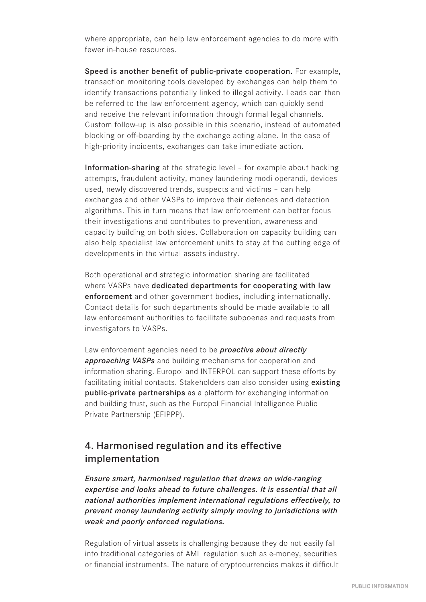where appropriate, can help law enforcement agencies to do more with fewer in-house resources.

Speed is another benefit of public-private cooperation. For example, transaction monitoring tools developed by exchanges can help them to identify transactions potentially linked to illegal activity. Leads can then be referred to the law enforcement agency, which can quickly send and receive the relevant information through formal legal channels. Custom follow-up is also possible in this scenario, instead of automated blocking or off-boarding by the exchange acting alone. In the case of high-priority incidents, exchanges can take immediate action.

Information-sharing at the strategic level – for example about hacking attempts, fraudulent activity, money laundering modi operandi, devices used, newly discovered trends, suspects and victims – can help exchanges and other VASPs to improve their defences and detection algorithms. This in turn means that law enforcement can better focus their investigations and contributes to prevention, awareness and capacity building on both sides. Collaboration on capacity building can also help specialist law enforcement units to stay at the cutting edge of developments in the virtual assets industry.

Both operational and strategic information sharing are facilitated where VASPs have dedicated departments for cooperating with law enforcement and other government bodies, including internationally. Contact details for such departments should be made available to all law enforcement authorities to facilitate subpoenas and requests from investigators to VASPs.

Law enforcement agencies need to be *proactive about directly approaching VASPs* and building mechanisms for cooperation and information sharing. Europol and INTERPOL can support these efforts by facilitating initial contacts. Stakeholders can also consider using existing public-private partnerships as a platform for exchanging information and building trust, such as the Europol Financial Intelligence Public Private Partnership (EFIPPP).

# 4. Harmonised regulation and its effective implementation

*Ensure smart, harmonised regulation that draws on wide-ranging expertise and looks ahead to future challenges. It is essential that all national authorities implement international regulations effectively, to prevent money laundering activity simply moving to jurisdictions with weak and poorly enforced regulations.* 

Regulation of virtual assets is challenging because they do not easily fall into traditional categories of AML regulation such as e-money, securities or financial instruments. The nature of cryptocurrencies makes it difficult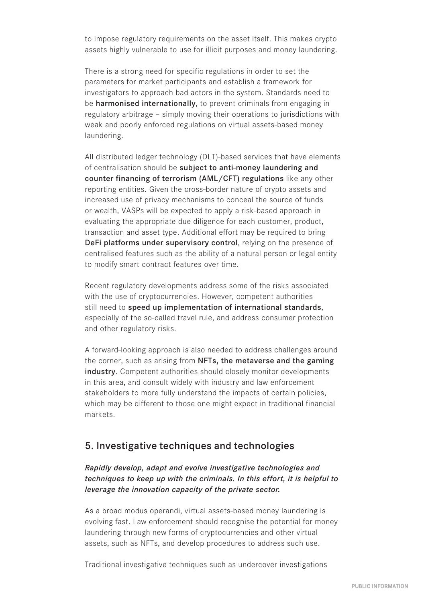to impose regulatory requirements on the asset itself. This makes crypto assets highly vulnerable to use for illicit purposes and money laundering.

There is a strong need for specific regulations in order to set the parameters for market participants and establish a framework for investigators to approach bad actors in the system. Standards need to be harmonised internationally, to prevent criminals from engaging in regulatory arbitrage – simply moving their operations to jurisdictions with weak and poorly enforced regulations on virtual assets-based money laundering.

All distributed ledger technology (DLT)-based services that have elements of centralisation should be subject to anti-money laundering and counter financing of terrorism (AML/CFT) regulations like any other reporting entities. Given the cross-border nature of crypto assets and increased use of privacy mechanisms to conceal the source of funds or wealth, VASPs will be expected to apply a risk-based approach in evaluating the appropriate due diligence for each customer, product, transaction and asset type. Additional effort may be required to bring DeFi platforms under supervisory control, relying on the presence of centralised features such as the ability of a natural person or legal entity to modify smart contract features over time.

Recent regulatory developments address some of the risks associated with the use of cryptocurrencies. However, competent authorities still need to speed up implementation of international standards, especially of the so-called travel rule, and address consumer protection and other regulatory risks.

A forward-looking approach is also needed to address challenges around the corner, such as arising from NFTs, the metaverse and the gaming industry. Competent authorities should closely monitor developments in this area, and consult widely with industry and law enforcement stakeholders to more fully understand the impacts of certain policies, which may be different to those one might expect in traditional financial markets.

## 5. Investigative techniques and technologies

#### *Rapidly develop, adapt and evolve investigative technologies and techniques to keep up with the criminals. In this effort, it is helpful to leverage the innovation capacity of the private sector.*

As a broad modus operandi, virtual assets-based money laundering is evolving fast. Law enforcement should recognise the potential for money laundering through new forms of cryptocurrencies and other virtual assets, such as NFTs, and develop procedures to address such use.

Traditional investigative techniques such as undercover investigations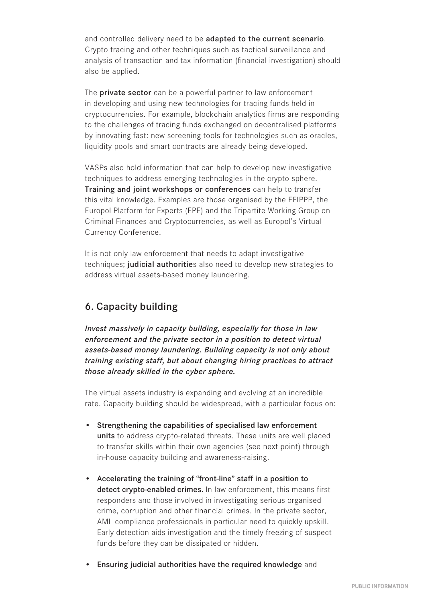and controlled delivery need to be adapted to the current scenario. Crypto tracing and other techniques such as tactical surveillance and analysis of transaction and tax information (financial investigation) should also be applied.

The **private sector** can be a powerful partner to law enforcement in developing and using new technologies for tracing funds held in cryptocurrencies. For example, blockchain analytics firms are responding to the challenges of tracing funds exchanged on decentralised platforms by innovating fast: new screening tools for technologies such as oracles, liquidity pools and smart contracts are already being developed.

VASPs also hold information that can help to develop new investigative techniques to address emerging technologies in the crypto sphere. Training and joint workshops or conferences can help to transfer this vital knowledge. Examples are those organised by the EFIPPP, the Europol Platform for Experts (EPE) and the Tripartite Working Group on Criminal Finances and Cryptocurrencies, as well as Europol's Virtual Currency Conference.

It is not only law enforcement that needs to adapt investigative techniques; judicial authorities also need to develop new strategies to address virtual assets-based money laundering.

# 6. Capacity building

*Invest massively in capacity building, especially for those in law enforcement and the private sector in a position to detect virtual assets-based money laundering. Building capacity is not only about training existing staff, but about changing hiring practices to attract those already skilled in the cyber sphere.*

The virtual assets industry is expanding and evolving at an incredible rate. Capacity building should be widespread, with a particular focus on:

- Strengthening the capabilities of specialised law enforcement units to address crypto-related threats. These units are well placed to transfer skills within their own agencies (see next point) through in-house capacity building and awareness-raising.
- Accelerating the training of "front-line" staff in a position to detect crypto-enabled crimes. In law enforcement, this means first responders and those involved in investigating serious organised crime, corruption and other financial crimes. In the private sector, AML compliance professionals in particular need to quickly upskill. Early detection aids investigation and the timely freezing of suspect funds before they can be dissipated or hidden.
- Ensuring judicial authorities have the required knowledge and